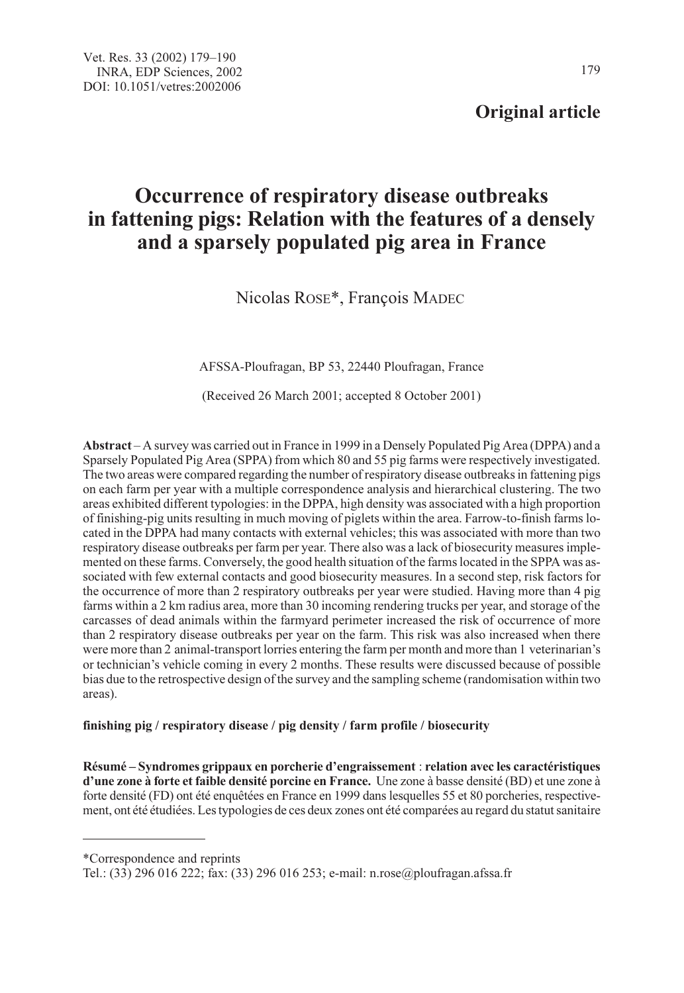## Original article

# Occurrence of respiratory disease outbreaks in fattening pigs: Relation with the features of a densely and a sparsely populated pig area in France

Nicolas ROSE\*, François MADEC

AFSSA-Ploufragan, BP 53, 22440 Ploufragan, France

(Received 26 March 2001; accepted 8 October 2001)

Abstract – A survey was carried out in France in 1999 in a Densely Populated Pig Area (DPPA) and a Sparsely Populated Pig Area (SPPA) from which 80 and 55 pig farms were respectively investigated. The two areas were compared regarding the number of respiratory disease outbreaks in fattening pigs on each farm per year with a multiple correspondence analysis and hierarchical clustering. The two areas exhibited different typologies: in the DPPA, high density was associated with a high proportion of finishing-pig units resulting in much moving of piglets within the area. Farrow-to-finish farms located in the DPPA had many contacts with external vehicles; this was associated with more than two respiratory disease outbreaks per farm per year. There also was a lack of biosecurity measures implemented on these farms. Conversely, the good health situation of the farms located in the SPPA was associated with few external contacts and good biosecurity measures. In a second step, risk factors for the occurrence of more than 2 respiratory outbreaks per year were studied. Having more than 4 pig farms within a 2 km radius area, more than 30 incoming rendering trucks per year, and storage of the carcasses of dead animals within the farmyard perimeter increased the risk of occurrence of more than 2 respiratory disease outbreaks per year on the farm. This risk was also increased when there were more than 2 animal-transport lorries entering the farm per month and more than 1 veterinarian's or technician's vehicle coming in every 2 months. These results were discussed because of possible bias due to the retrospective design of the survey and the sampling scheme (randomisation within two areas).

## finishing pig / respiratory disease / pig density / farm profile / biosecurity

Résumé – Syndromes grippaux en porcherie d'engraissement : relation avec les caractéristiques d'une zone à forte et faible densité porcine en France. Une zone à basse densité (BD) et une zone à forte densité (FD) ont été enquêtées en France en 1999 dans lesquelles 55 et 80 porcheries, respectivement, ont été étudiées. Les typologies de ces deux zones ont été comparées au regard du statut sanitaire

\*Correspondence and reprints

Tel.: (33) 296 016 222; fax: (33) 296 016 253; e-mail: n.rose@ploufragan.afssa.fr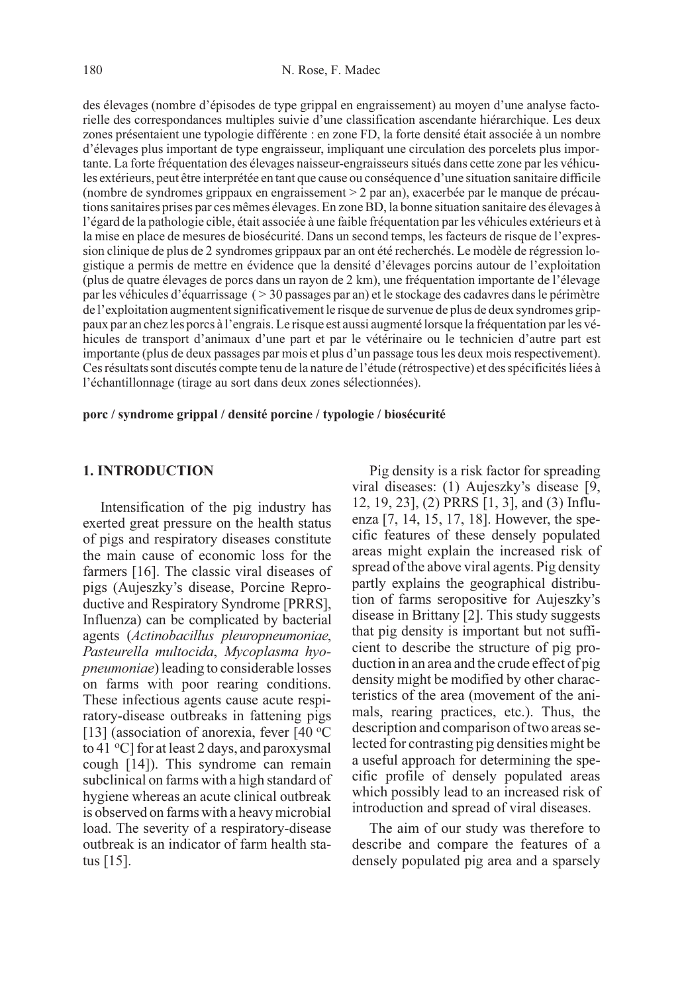des élevages (nombre d'épisodes de type grippal en engraissement) au moyen d'une analyse factorielle des correspondances multiples suivie d'une classification ascendante hiérarchique. Les deux zones présentaient une typologie différente : en zone FD, la forte densité était associée à un nombre d'élevages plus important de type engraisseur, impliquant une circulation des porcelets plus importante. La forte fréquentation des élevages naisseur-engraisseurs situés dans cette zone par les véhicules extérieurs, peut être interprétée en tant que cause ou conséquence d'une situation sanitaire difficile (nombre de syndromes grippaux en engraissement > 2 par an), exacerbée par le manque de précautions sanitaires prises par ces mêmes élevages. En zone BD, la bonne situation sanitaire des élevages à l'égard de la pathologie cible, était associée à une faible fréquentation par les véhicules extérieurs et à la mise en place de mesures de biosécurité. Dans un second temps, les facteurs de risque de l'expression clinique de plus de 2 syndromes grippaux par an ont été recherchés. Le modèle de régression logistique a permis de mettre en évidence que la densité d'élevages porcins autour de l'exploitation (plus de quatre élevages de porcs dans un rayon de 2 km), une fréquentation importante de l'élevage par les véhicules d'équarrissage ( > 30 passages par an) et le stockage des cadavres dans le périmètre de l'exploitation augmentent significativement le risque de survenue de plus de deux syndromes grippaux par an chez les porcs à l'engrais. Le risque est aussi augmenté lorsque la fréquentation par les véhicules de transport d'animaux d'une part et par le vétérinaire ou le technicien d'autre part est importante (plus de deux passages par mois et plus d'un passage tous les deux mois respectivement). Ces résultats sont discutés compte tenu de la nature de l'étude (rétrospective) et des spécificités liées à l'échantillonnage (tirage au sort dans deux zones sélectionnées).

porc / syndrome grippal / densité porcine / typologie / biosécurité

## 1. INTRODUCTION

Intensification of the pig industry has exerted great pressure on the health status of pigs and respiratory diseases constitute the main cause of economic loss for the farmers [16]. The classic viral diseases of pigs (Aujeszky's disease, Porcine Reproductive and Respiratory Syndrome [PRRS], Influenza) can be complicated by bacterial agents (Actinobacillus pleuropneumoniae, Pasteurella multocida, Mycoplasma hyopneumoniae) leading to considerable losses on farms with poor rearing conditions. These infectious agents cause acute respiratory-disease outbreaks in fattening pigs [13] (association of anorexia, fever  $[40 °C]$ to 41 °C] for at least 2 days, and paroxysmal cough [14]). This syndrome can remain subclinical on farms with a high standard of hygiene whereas an acute clinical outbreak is observed on farms with a heavy microbial load. The severity of a respiratory-disease outbreak is an indicator of farm health status [15].

Pig density is a risk factor for spreading viral diseases: (1) Aujeszky's disease [9, 12, 19, 23], (2) PRRS [1, 3], and (3) Influenza [7, 14, 15, 17, 18]. However, the specific features of these densely populated areas might explain the increased risk of spread of the above viral agents. Pig density partly explains the geographical distribution of farms seropositive for Aujeszky's disease in Brittany [2]. This study suggests that pig density is important but not sufficient to describe the structure of pig production in an area and the crude effect of pig density might be modified by other characteristics of the area (movement of the animals, rearing practices, etc.). Thus, the description and comparison of two areas selected for contrasting pig densities might be a useful approach for determining the specific profile of densely populated areas which possibly lead to an increased risk of introduction and spread of viral diseases.

The aim of our study was therefore to describe and compare the features of a densely populated pig area and a sparsely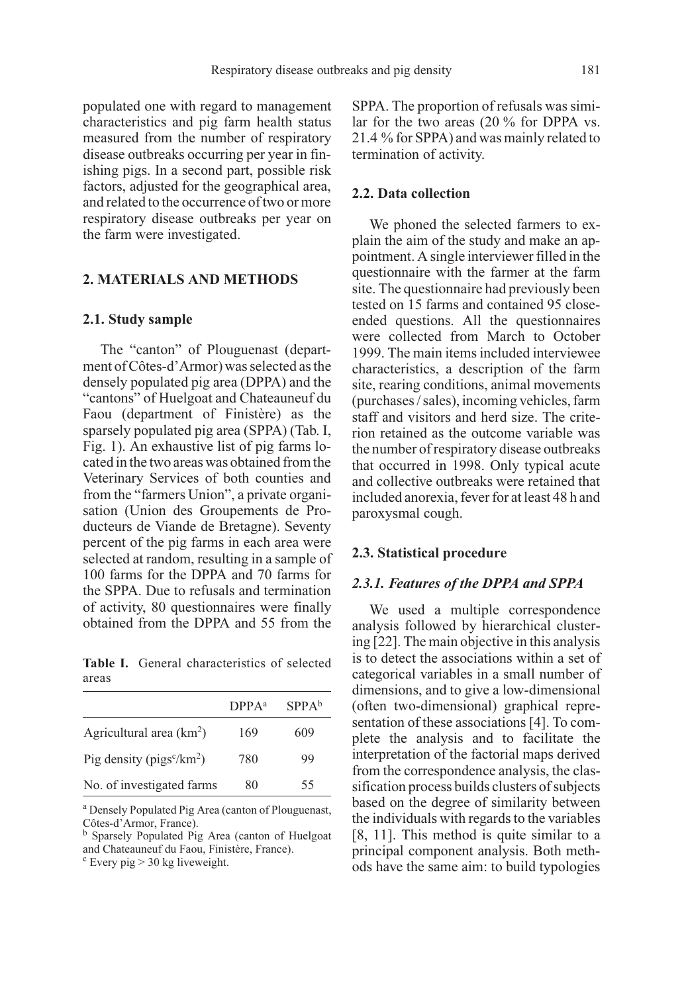populated one with regard to management characteristics and pig farm health status measured from the number of respiratory disease outbreaks occurring per year in finishing pigs. In a second part, possible risk factors, adjusted for the geographical area, and related to the occurrence of two or more respiratory disease outbreaks per year on the farm were investigated.

## 2. MATERIALS AND METHODS

#### 2.1. Study sample

The "canton" of Plouguenast (department of Côtes-d'Armor) was selected as the densely populated pig area (DPPA) and the "cantons" of Huelgoat and Chateauneuf du Faou (department of Finistère) as the sparsely populated pig area (SPPA) (Tab. I, Fig. 1). An exhaustive list of pig farms located in the two areas was obtained from the Veterinary Services of both counties and from the "farmers Union", a private organisation (Union des Groupements de Producteurs de Viande de Bretagne). Seventy percent of the pig farms in each area were selected at random, resulting in a sample of 100 farms for the DPPA and 70 farms for the SPPA. Due to refusals and termination of activity, 80 questionnaires were finally obtained from the DPPA and 55 from the

Table I. General characteristics of selected areas

|                             | DPPA <sup>a</sup> | SPPA <sup>b</sup> |
|-----------------------------|-------------------|-------------------|
| Agricultural area $(km2)$   | 169               | 609               |
| Pig density ( $pigsc/km2$ ) | 780               | 99                |
| No. of investigated farms   | 80                | 55                |

<sup>a</sup> Densely Populated Pig Area (canton of Plouguenast, Côtes-d'Armor, France).

<sup>b</sup> Sparsely Populated Pig Area (canton of Huelgoat and Chateauneuf du Faou, Finistère, France).

 $c$  Every pig  $>$  30 kg liveweight.

SPPA. The proportion of refusals was similar for the two areas (20 % for DPPA vs. 21.4 % for SPPA) and was mainly related to termination of activity.

## 2.2. Data collection

We phoned the selected farmers to explain the aim of the study and make an appointment. A single interviewer filled in the questionnaire with the farmer at the farm site. The questionnaire had previously been tested on 15 farms and contained 95 closeended questions. All the questionnaires were collected from March to October 1999. The main items included interviewee characteristics, a description of the farm site, rearing conditions, animal movements (purchases / sales), incoming vehicles, farm staff and visitors and herd size. The criterion retained as the outcome variable was the number of respiratory disease outbreaks that occurred in 1998. Only typical acute and collective outbreaks were retained that included anorexia, fever for at least 48 h and paroxysmal cough.

#### 2.3. Statistical procedure

## 2.3.1. Features of the DPPA and SPPA

We used a multiple correspondence analysis followed by hierarchical clustering [22]. The main objective in this analysis is to detect the associations within a set of categorical variables in a small number of dimensions, and to give a low-dimensional (often two-dimensional) graphical representation of these associations [4]. To complete the analysis and to facilitate the interpretation of the factorial maps derived from the correspondence analysis, the classification process builds clusters of subjects based on the degree of similarity between the individuals with regards to the variables [8, 11]. This method is quite similar to a principal component analysis. Both methods have the same aim: to build typologies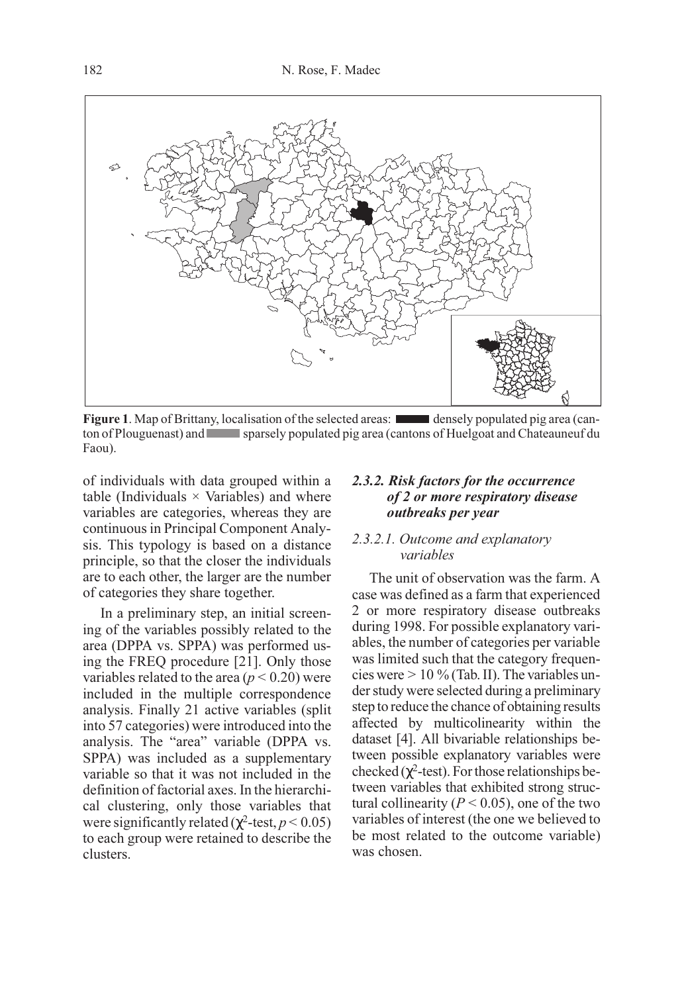

Figure 1. Map of Brittany, localisation of the selected areas: **densely populated pig area (can**ton of Plouguenast) and sparsely populated pig area (cantons of Huelgoat and Chateauneuf du Faou).

of individuals with data grouped within a table (Individuals  $\times$  Variables) and where variables are categories, whereas they are continuous in Principal Component Analysis. This typology is based on a distance principle, so that the closer the individuals are to each other, the larger are the number of categories they share together.

In a preliminary step, an initial screening of the variables possibly related to the area (DPPA vs. SPPA) was performed using the FREQ procedure [21]. Only those variables related to the area ( $p < 0.20$ ) were included in the multiple correspondence analysis. Finally 21 active variables (split into 57 categories) were introduced into the analysis. The "area" variable (DPPA vs. SPPA) was included as a supplementary variable so that it was not included in the definition of factorial axes. In the hierarchical clustering, only those variables that were significantly related ( $\chi^2$ -test,  $p < 0.05$ ) to each group were retained to describe the clusters.

## 2.3.2. Risk factors for the occurrence of 2 or more respiratory disease outbreaks per year

## 2.3.2.1. Outcome and explanatory variables

The unit of observation was the farm. A case was defined as a farm that experienced 2 or more respiratory disease outbreaks during 1998. For possible explanatory variables, the number of categories per variable was limited such that the category frequencies were > 10 % (Tab. II). The variables under study were selected during a preliminary step to reduce the chance of obtaining results affected by multicolinearity within the dataset [4]. All bivariable relationships between possible explanatory variables were checked ( $\chi^2$ -test). For those relationships between variables that exhibited strong structural collinearity ( $P < 0.05$ ), one of the two variables of interest (the one we believed to be most related to the outcome variable) was chosen.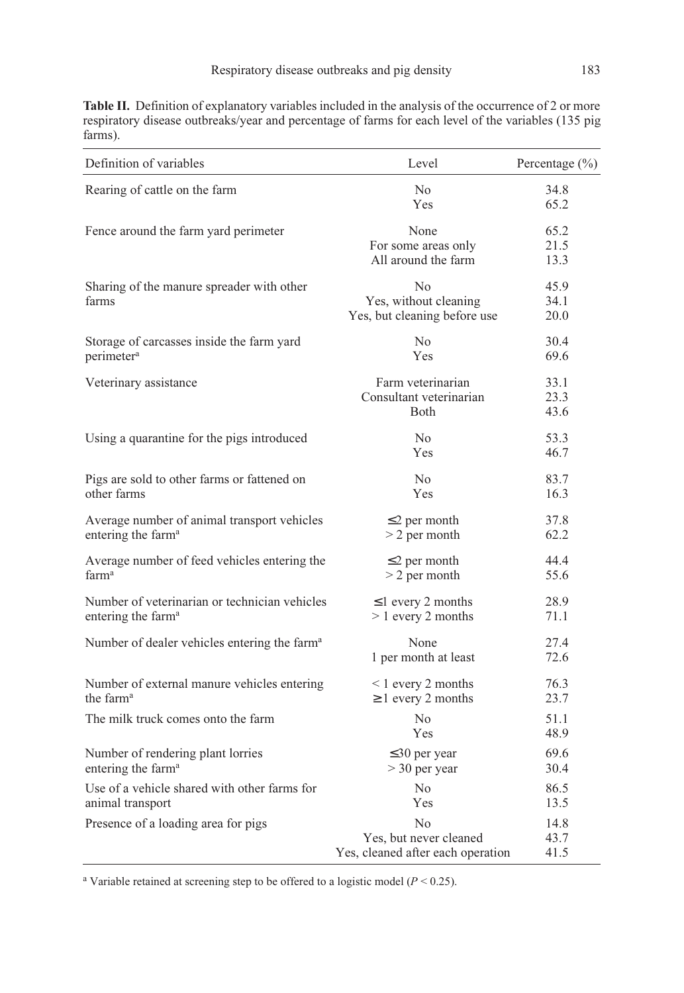Table II. Definition of explanatory variables included in the analysis of the occurrence of 2 or more respiratory disease outbreaks/year and percentage of farms for each level of the variables (135 pig farms).

| Definition of variables                                  | Level                             | Percentage $(\% )$ |
|----------------------------------------------------------|-----------------------------------|--------------------|
| Rearing of cattle on the farm                            | No                                | 34.8               |
|                                                          | Yes                               | 65.2               |
| Fence around the farm yard perimeter                     | None                              | 65.2               |
|                                                          | For some areas only               | 21.5               |
|                                                          | All around the farm               | 13.3               |
| Sharing of the manure spreader with other                | No                                | 45.9               |
| farms                                                    | Yes, without cleaning             | 34.1               |
|                                                          | Yes, but cleaning before use      | 20.0               |
| Storage of carcasses inside the farm yard                | N <sub>0</sub>                    | 30.4               |
| perimeter <sup>a</sup>                                   | Yes                               | 69.6               |
| Veterinary assistance                                    | Farm veterinarian                 | 33.1               |
|                                                          | Consultant veterinarian           | 23.3               |
|                                                          | <b>B</b> oth                      | 43.6               |
| Using a quarantine for the pigs introduced               | No                                | 53.3               |
|                                                          | Yes                               | 46.7               |
| Pigs are sold to other farms or fattened on              | N <sub>0</sub>                    | 83.7               |
| other farms                                              | Yes                               | 16.3               |
| Average number of animal transport vehicles              | $\leq$ 2 per month                | 37.8               |
| entering the farm <sup>a</sup>                           | $> 2$ per month                   | 62.2               |
| Average number of feed vehicles entering the             | $\leq$ 2 per month                | 44.4               |
| farm <sup>a</sup>                                        | $>$ 2 per month                   | 55.6               |
| Number of veterinarian or technician vehicles            | $\leq$ 1 every 2 months           | 28.9               |
| entering the farm <sup>a</sup>                           | $> 1$ every 2 months              | 71.1               |
| Number of dealer vehicles entering the farm <sup>a</sup> | None                              | 27.4               |
|                                                          | 1 per month at least              | 72.6               |
| Number of external manure vehicles entering              | $< 1$ every 2 months              | 76.3               |
| the farm <sup>a</sup>                                    | $\geq 1$ every 2 months           | 23.7               |
| The milk truck comes onto the farm                       | N <sub>0</sub>                    | 51.1               |
|                                                          | Yes                               | 48.9               |
| Number of rendering plant lorries                        | $\leq$ 30 per year                | 69.6               |
| entering the farm <sup>a</sup>                           | $>$ 30 per year                   | 30.4               |
| Use of a vehicle shared with other farms for             | N <sub>0</sub>                    | 86.5               |
| animal transport                                         | Yes                               | 13.5               |
| Presence of a loading area for pigs                      | No                                | 14.8               |
|                                                          | Yes, but never cleaned            | 43.7               |
|                                                          | Yes, cleaned after each operation | 41.5               |

<sup>a</sup> Variable retained at screening step to be offered to a logistic model ( $P < 0.25$ ).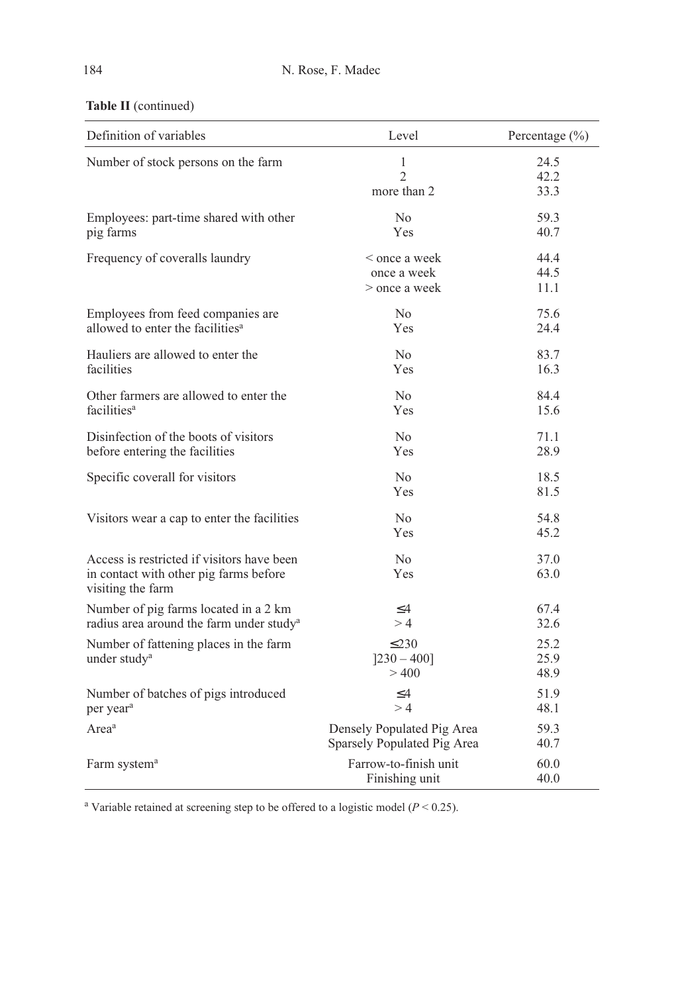| Definition of variables                                                                                   | Level                                                     | Percentage (%)       |
|-----------------------------------------------------------------------------------------------------------|-----------------------------------------------------------|----------------------|
| Number of stock persons on the farm                                                                       | 1<br>$\mathfrak{D}$<br>more than 2                        | 24.5<br>42.2<br>33.3 |
| Employees: part-time shared with other<br>pig farms                                                       | No<br>Yes                                                 | 59.3<br>40.7         |
| Frequency of coveralls laundry                                                                            | < once a week<br>once a week<br>> once a week             | 44.4<br>44.5<br>11.1 |
| Employees from feed companies are<br>allowed to enter the facilities <sup>a</sup>                         | N <sub>0</sub><br>Yes                                     | 75.6<br>24.4         |
| Hauliers are allowed to enter the<br>facilities                                                           | No<br>Yes                                                 | 83.7<br>16.3         |
| Other farmers are allowed to enter the<br>facilities <sup>a</sup>                                         | N <sub>0</sub><br><b>Yes</b>                              | 84.4<br>15.6         |
| Disinfection of the boots of visitors<br>before entering the facilities                                   | N <sub>0</sub><br>Yes                                     | 71.1<br>28.9         |
| Specific coverall for visitors                                                                            | No<br><b>Yes</b>                                          | 18.5<br>81.5         |
| Visitors wear a cap to enter the facilities                                                               | N <sub>0</sub><br>Yes                                     | 54.8<br>45.2         |
| Access is restricted if visitors have been<br>in contact with other pig farms before<br>visiting the farm | No<br>Yes                                                 | 37.0<br>63.0         |
| Number of pig farms located in a 2 km<br>radius area around the farm under study <sup>a</sup>             | $\leq$ 4<br>>4                                            | 67.4<br>32.6         |
| Number of fattening places in the farm<br>under study <sup>a</sup>                                        | $\leq$ 230<br>$[230 - 400]$<br>> 400                      | 25.2<br>25.9<br>48.9 |
| Number of batches of pigs introduced<br>per year <sup>a</sup>                                             | $\leq$ 4<br>>4                                            | 51.9<br>48.1         |
| Area <sup>a</sup>                                                                                         | Densely Populated Pig Area<br>Sparsely Populated Pig Area | 59.3<br>40.7         |
| Farm system <sup>a</sup>                                                                                  | Farrow-to-finish unit<br>Finishing unit                   | 60.0<br>40.0         |

<sup>a</sup> Variable retained at screening step to be offered to a logistic model ( $P < 0.25$ ).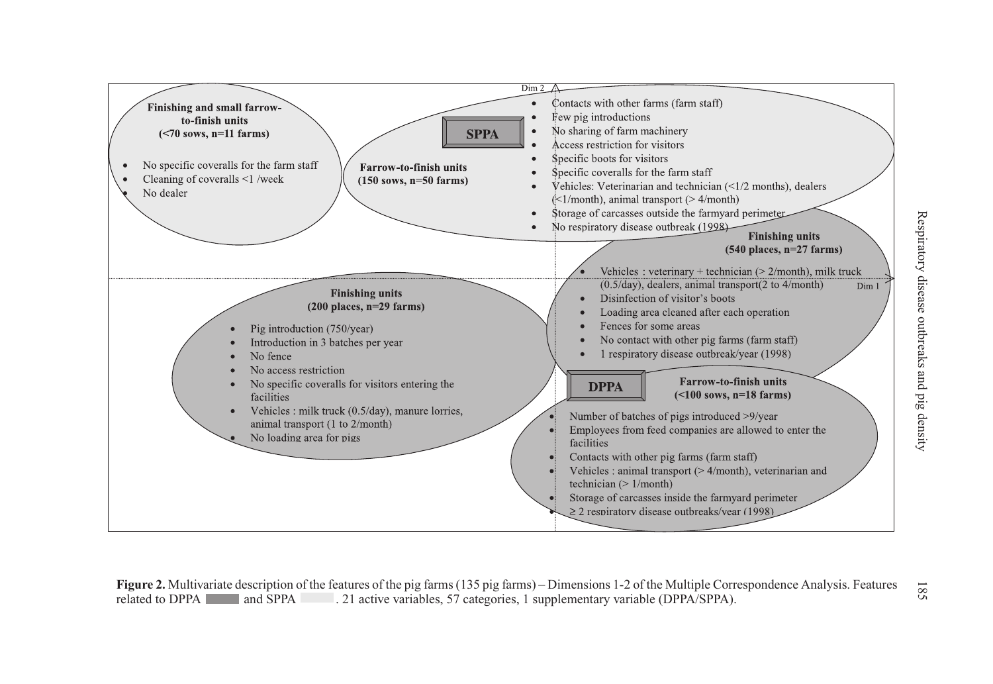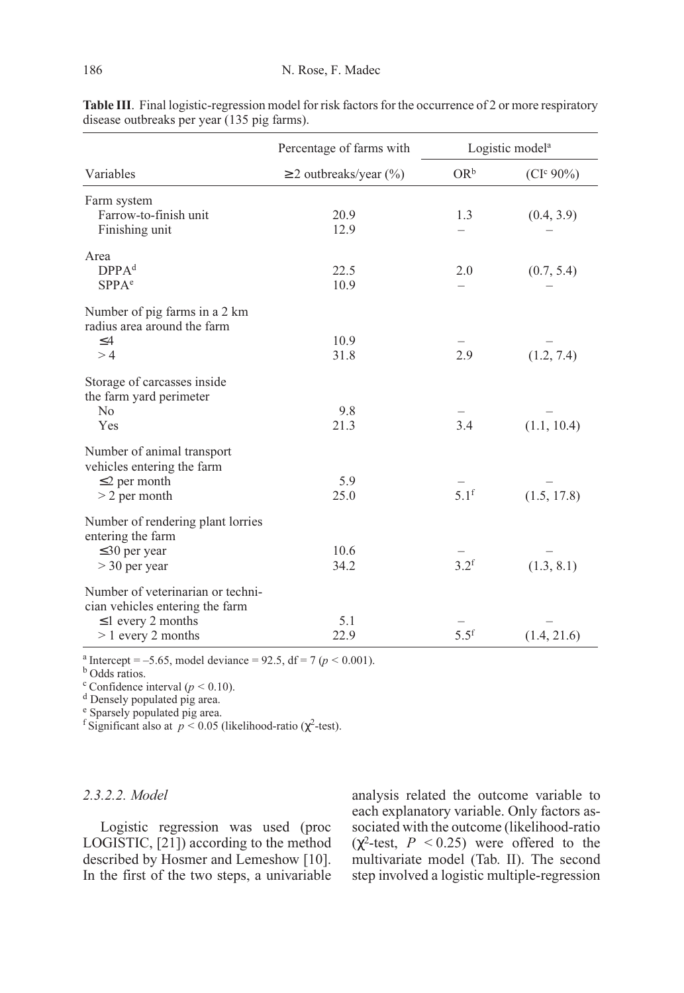| Percentage of farms with                                             |                             | Logistic model <sup>a</sup> |                       |
|----------------------------------------------------------------------|-----------------------------|-----------------------------|-----------------------|
| Variables                                                            | $\geq$ 2 outbreaks/year (%) | $OR^b$                      | (CI <sup>c</sup> 90%) |
| Farm system                                                          |                             |                             |                       |
| Farrow-to-finish unit                                                | 20.9                        | 1.3                         | (0.4, 3.9)            |
| Finishing unit                                                       | 12.9                        |                             |                       |
| Area                                                                 |                             |                             |                       |
| DPPA <sup>d</sup>                                                    | 22.5                        | 2.0                         | (0.7, 5.4)            |
| SPPA <sup>e</sup>                                                    | 10.9                        |                             |                       |
| Number of pig farms in a 2 km<br>radius area around the farm         |                             |                             |                       |
| $\leq$ 4                                                             | 10.9                        |                             |                       |
| >4                                                                   | 31.8                        | 2.9                         | (1.2, 7.4)            |
| Storage of carcasses inside<br>the farm yard perimeter               |                             |                             |                       |
| N <sub>0</sub>                                                       | 9.8                         |                             |                       |
| Yes                                                                  | 21.3                        | 3.4                         | (1.1, 10.4)           |
| Number of animal transport<br>vehicles entering the farm             |                             |                             |                       |
| $\leq$ 2 per month                                                   | 5.9                         |                             |                       |
| $>$ 2 per month                                                      | 25.0                        | 5.1 <sup>f</sup>            | (1.5, 17.8)           |
| Number of rendering plant lorries<br>entering the farm               |                             |                             |                       |
| $\leq$ 30 per year                                                   | 10.6                        |                             |                       |
| $>$ 30 per year                                                      | 34.2                        | 3.2 <sup>f</sup>            | (1.3, 8.1)            |
| Number of veterinarian or techni-<br>cian vehicles entering the farm |                             |                             |                       |
| $\leq$ 1 every 2 months                                              | 5.1                         |                             |                       |
| $> 1$ every 2 months                                                 | 22.9                        | $5.5^{\rm f}$               | (1.4, 21.6)           |

Table III. Final logistic-regression model for risk factors for the occurrence of 2 or more respiratory disease outbreaks per year (135 pig farms).

<sup>a</sup> Intercept = -5.65, model deviance = 92.5, df = 7 ( $p$  < 0.001). <sup>b</sup> Odds ratios.

<sup>c</sup> Confidence interval ( $p < 0.10$ ).<br><sup>d</sup> Densely populated pig area.

<sup>e</sup> Sparsely populated pig area.

<sup>f</sup> Significant also at  $p < 0.05$  (likelihood-ratio ( $\chi^2$ -test).

## 2.3.2.2. Model

Logistic regression was used (proc LOGISTIC, [21]) according to the method described by Hosmer and Lemeshow [10]. In the first of the two steps, a univariable analysis related the outcome variable to each explanatory variable. Only factors associated with the outcome (likelihood-ratio  $(\chi^2$ -test,  $P < 0.25$ ) were offered to the multivariate model (Tab. II). The second step involved a logistic multiple-regression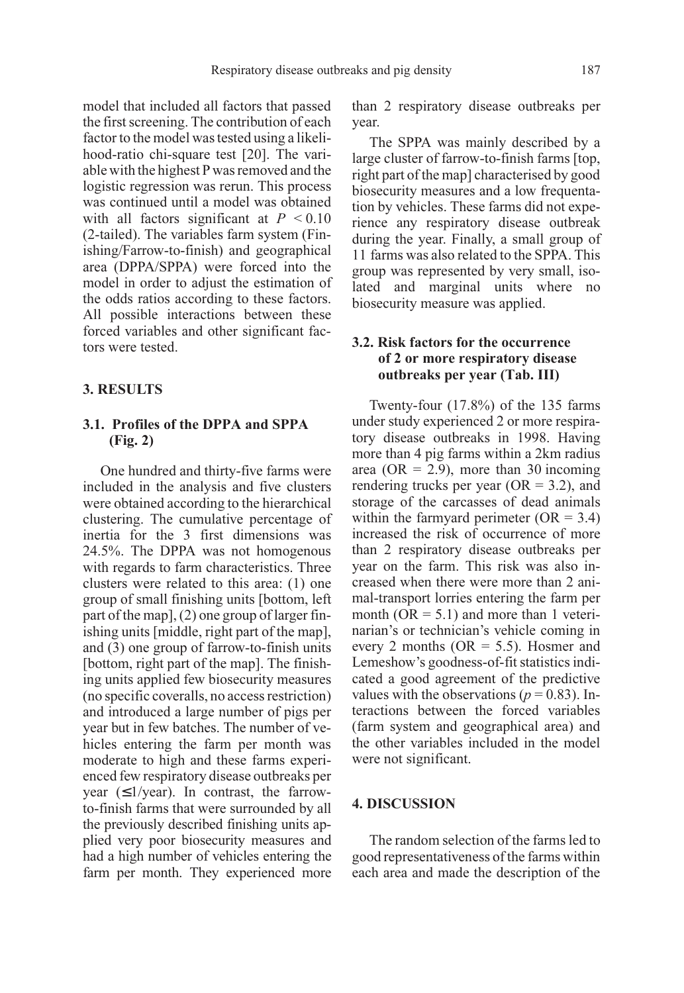model that included all factors that passed the first screening. The contribution of each factor to the model was tested using a likelihood-ratio chi-square test [20]. The variable with the highest P was removed and the logistic regression was rerun. This process was continued until a model was obtained with all factors significant at  $P < 0.10$ (2-tailed). The variables farm system (Finishing/Farrow-to-finish) and geographical area (DPPA/SPPA) were forced into the model in order to adjust the estimation of the odds ratios according to these factors. All possible interactions between these forced variables and other significant factors were tested.

## 3. RESULTS

## 3.1. Profiles of the DPPA and SPPA (Fig. 2)

One hundred and thirty-five farms were included in the analysis and five clusters were obtained according to the hierarchical clustering. The cumulative percentage of inertia for the 3 first dimensions was 24.5%. The DPPA was not homogenous with regards to farm characteristics. Three clusters were related to this area: (1) one group of small finishing units [bottom, left part of the map], (2) one group of larger finishing units [middle, right part of the map], and (3) one group of farrow-to-finish units [bottom, right part of the map]. The finishing units applied few biosecurity measures (no specific coveralls, no access restriction) and introduced a large number of pigs per year but in few batches. The number of vehicles entering the farm per month was moderate to high and these farms experienced few respiratory disease outbreaks per year  $(\leq 1$ /year). In contrast, the farrowto-finish farms that were surrounded by all the previously described finishing units applied very poor biosecurity measures and had a high number of vehicles entering the farm per month. They experienced more than 2 respiratory disease outbreaks per year.

The SPPA was mainly described by a large cluster of farrow-to-finish farms [top, right part of the map] characterised by good biosecurity measures and a low frequentation by vehicles. These farms did not experience any respiratory disease outbreak during the year. Finally, a small group of 11 farms was also related to the SPPA. This group was represented by very small, isolated and marginal units where no biosecurity measure was applied.

## 3.2. Risk factors for the occurrence of 2 or more respiratory disease outbreaks per year (Tab. III)

Twenty-four (17.8%) of the 135 farms under study experienced 2 or more respiratory disease outbreaks in 1998. Having more than 4 pig farms within a 2km radius area (OR = 2.9), more than 30 incoming rendering trucks per year ( $OR = 3.2$ ), and storage of the carcasses of dead animals within the farmyard perimeter  $(OR = 3.4)$ increased the risk of occurrence of more than 2 respiratory disease outbreaks per year on the farm. This risk was also increased when there were more than 2 animal-transport lorries entering the farm per month ( $OR = 5.1$ ) and more than 1 veterinarian's or technician's vehicle coming in every 2 months ( $OR = 5.5$ ). Hosmer and Lemeshow's goodness-of-fit statistics indicated a good agreement of the predictive values with the observations ( $p = 0.83$ ). Interactions between the forced variables (farm system and geographical area) and the other variables included in the model were not significant.

#### 4. DISCUSSION

The random selection of the farms led to good representativeness of the farms within each area and made the description of the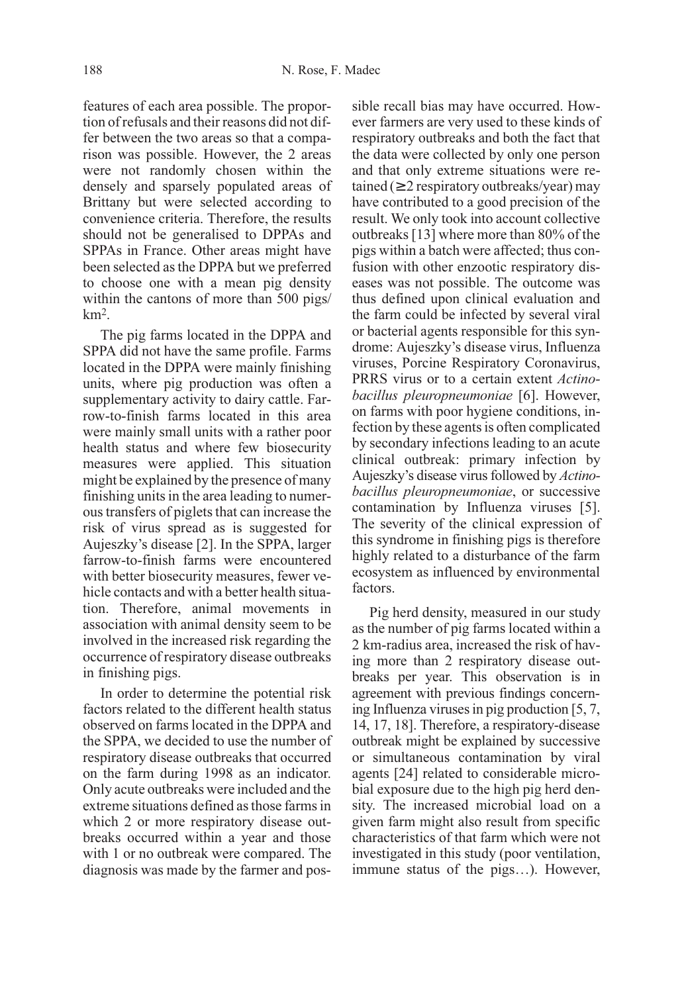features of each area possible. The proportion of refusals and their reasons did not differ between the two areas so that a comparison was possible. However, the 2 areas were not randomly chosen within the densely and sparsely populated areas of Brittany but were selected according to convenience criteria. Therefore, the results should not be generalised to DPPAs and SPPAs in France. Other areas might have been selected as the DPPA but we preferred to choose one with a mean pig density within the cantons of more than 500 pigs/ km2.

The pig farms located in the DPPA and SPPA did not have the same profile. Farms located in the DPPA were mainly finishing units, where pig production was often a supplementary activity to dairy cattle. Farrow-to-finish farms located in this area were mainly small units with a rather poor health status and where few biosecurity measures were applied. This situation might be explained by the presence of many finishing units in the area leading to numerous transfers of piglets that can increase the risk of virus spread as is suggested for Aujeszky's disease [2]. In the SPPA, larger farrow-to-finish farms were encountered with better biosecurity measures, fewer vehicle contacts and with a better health situation. Therefore, animal movements in association with animal density seem to be involved in the increased risk regarding the occurrence of respiratory disease outbreaks in finishing pigs.

In order to determine the potential risk factors related to the different health status observed on farms located in the DPPA and the SPPA, we decided to use the number of respiratory disease outbreaks that occurred on the farm during 1998 as an indicator. Only acute outbreaks were included and the extreme situations defined as those farms in which 2 or more respiratory disease outbreaks occurred within a year and those with 1 or no outbreak were compared. The diagnosis was made by the farmer and possible recall bias may have occurred. However farmers are very used to these kinds of respiratory outbreaks and both the fact that the data were collected by only one person and that only extreme situations were retained ( $\geq 2$  respiratory outbreaks/year) may have contributed to a good precision of the result. We only took into account collective outbreaks [13] where more than 80% of the pigs within a batch were affected; thus confusion with other enzootic respiratory diseases was not possible. The outcome was thus defined upon clinical evaluation and the farm could be infected by several viral or bacterial agents responsible for this syndrome: Aujeszky's disease virus, Influenza viruses, Porcine Respiratory Coronavirus, PRRS virus or to a certain extent Actinobacillus pleuropneumoniae [6]. However, on farms with poor hygiene conditions, infection by these agents is often complicated by secondary infections leading to an acute clinical outbreak: primary infection by Aujeszky's disease virus followed by Actinobacillus pleuropneumoniae, or successive contamination by Influenza viruses [5]. The severity of the clinical expression of this syndrome in finishing pigs is therefore highly related to a disturbance of the farm ecosystem as influenced by environmental factors.

Pig herd density, measured in our study as the number of pig farms located within a 2 km-radius area, increased the risk of having more than 2 respiratory disease outbreaks per year. This observation is in agreement with previous findings concerning Influenza viruses in pig production [5, 7, 14, 17, 18]. Therefore, a respiratory-disease outbreak might be explained by successive or simultaneous contamination by viral agents [24] related to considerable microbial exposure due to the high pig herd density. The increased microbial load on a given farm might also result from specific characteristics of that farm which were not investigated in this study (poor ventilation, immune status of the pigs…). However,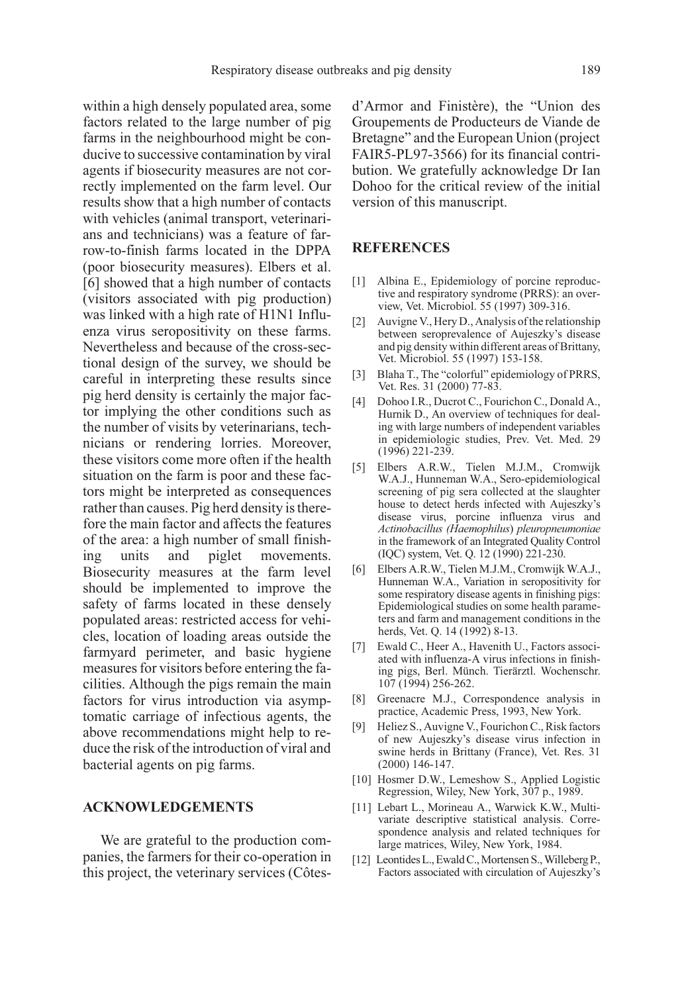within a high densely populated area, some factors related to the large number of pig farms in the neighbourhood might be conducive to successive contamination by viral agents if biosecurity measures are not correctly implemented on the farm level. Our results show that a high number of contacts with vehicles (animal transport, veterinarians and technicians) was a feature of farrow-to-finish farms located in the DPPA (poor biosecurity measures). Elbers et al. [6] showed that a high number of contacts (visitors associated with pig production) was linked with a high rate of H1N1 Influenza virus seropositivity on these farms. Nevertheless and because of the cross-sectional design of the survey, we should be careful in interpreting these results since pig herd density is certainly the major factor implying the other conditions such as the number of visits by veterinarians, technicians or rendering lorries. Moreover, these visitors come more often if the health situation on the farm is poor and these factors might be interpreted as consequences rather than causes. Pig herd density is therefore the main factor and affects the features of the area: a high number of small finishing units and piglet movements. Biosecurity measures at the farm level should be implemented to improve the safety of farms located in these densely populated areas: restricted access for vehicles, location of loading areas outside the farmyard perimeter, and basic hygiene measures for visitors before entering the facilities. Although the pigs remain the main factors for virus introduction via asymptomatic carriage of infectious agents, the above recommendations might help to reduce the risk of the introduction of viral and bacterial agents on pig farms.

#### ACKNOWLEDGEMENTS

We are grateful to the production companies, the farmers for their co-operation in this project, the veterinary services (Côtesd'Armor and Finistère), the "Union des Groupements de Producteurs de Viande de Bretagne" and the European Union (project FAIR5-PL97-3566) for its financial contribution. We gratefully acknowledge Dr Ian Dohoo for the critical review of the initial version of this manuscript.

### **REFERENCES**

- [1] Albina E., Epidemiology of porcine reproductive and respiratory syndrome (PRRS): an overview, Vet. Microbiol. 55 (1997) 309-316.
- [2] Auvigne V., Hery D., Analysis of the relationship between seroprevalence of Aujeszky's disease and pig density within different areas of Brittany, Vet. Microbiol. 55 (1997) 153-158.
- [3] Blaha T., The "colorful" epidemiology of PRRS, Vet. Res. 31 (2000) 77-83.
- [4] Dohoo I.R., Ducrot C., Fourichon C., Donald A., Hurnik D., An overview of techniques for dealing with large numbers of independent variables in epidemiologic studies, Prev. Vet. Med. 29 (1996) 221-239.
- [5] Elbers A.R.W., Tielen M.J.M., Cromwijk W.A.J., Hunneman W.A., Sero-epidemiological screening of pig sera collected at the slaughter house to detect herds infected with Aujeszky's disease virus, porcine influenza virus and Actinobacillus (Haemophilus) pleuropneumoniae in the framework of an Integrated Quality Control (IQC) system, Vet. Q. 12 (1990) 221-230.
- [6] Elbers A.R.W., Tielen M.J.M., Cromwijk W.A.J., Hunneman W.A., Variation in seropositivity for some respiratory disease agents in finishing pigs: Epidemiological studies on some health parameters and farm and management conditions in the herds, Vet. Q. 14 (1992) 8-13.
- [7] Ewald C., Heer A., Havenith U., Factors associated with influenza-A virus infections in finishing pigs, Berl. Münch. Tierärztl. Wochenschr. 107 (1994) 256-262.
- [8] Greenacre M.J., Correspondence analysis in practice, Academic Press, 1993, New York.
- [9] Heliez S., Auvigne V., Fourichon C., Risk factors of new Aujeszky's disease virus infection in swine herds in Brittany (France), Vet. Res. 31 (2000) 146-147.
- [10] Hosmer D.W., Lemeshow S., Applied Logistic Regression, Wiley, New York, 307 p., 1989.
- [11] Lebart L., Morineau A., Warwick K.W., Multivariate descriptive statistical analysis. Correspondence analysis and related techniques for large matrices, Wiley, New York, 1984.
- [12] Leontides L., Ewald C., Mortensen S., Willeberg P., Factors associated with circulation of Aujeszky's